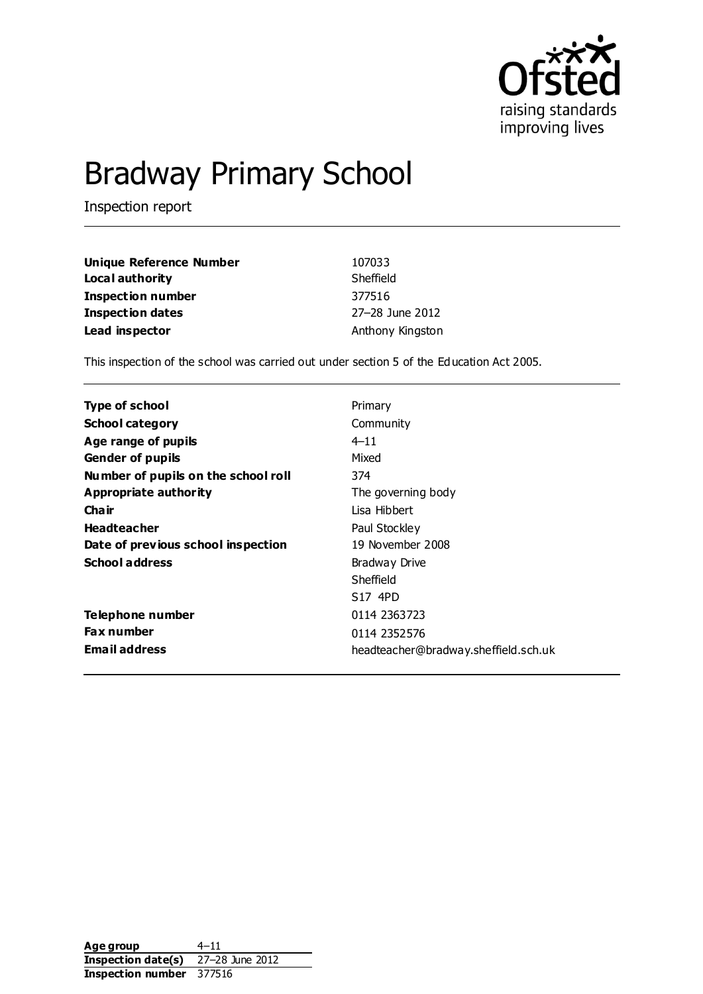

# Bradway Primary School

Inspection report

| Unique Reference Number | 107033           |
|-------------------------|------------------|
| Local authority         | Sheffield        |
| Inspection number       | 377516           |
| <b>Inspection dates</b> | 27-28 June 2012  |
| Lead inspector          | Anthony Kingston |

This inspection of the school was carried out under section 5 of the Education Act 2005.

| <b>Type of school</b>               | Primary                              |
|-------------------------------------|--------------------------------------|
| <b>School category</b>              | Community                            |
| Age range of pupils                 | $4 - 11$                             |
| <b>Gender of pupils</b>             | Mixed                                |
| Number of pupils on the school roll | 374                                  |
| Appropriate authority               | The governing body                   |
| Cha ir                              | Lisa Hibbert                         |
| <b>Headteacher</b>                  | Paul Stockley                        |
| Date of previous school inspection  | 19 November 2008                     |
| <b>School address</b>               | Bradway Drive                        |
|                                     | Sheffield                            |
|                                     | S <sub>17</sub> 4PD                  |
| Telephone number                    | 0114 2363723                         |
| <b>Fax number</b>                   | 0114 2352576                         |
| <b>Email address</b>                | headteacher@bradway.sheffield.sch.uk |

Age group 4–11 **Inspection date(s)** 27–28 June 2012 **Inspection number** 377516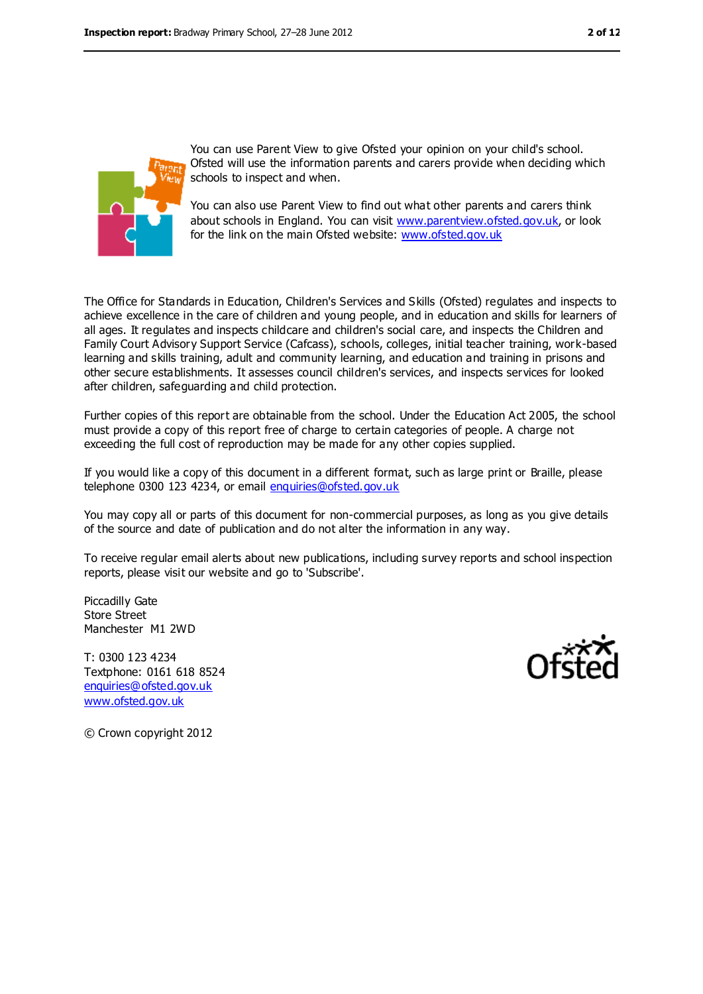

You can use Parent View to give Ofsted your opinion on your child's school. Ofsted will use the information parents and carers provide when deciding which schools to inspect and when.

You can also use Parent View to find out what other parents and carers think about schools in England. You can visit [www.parentview.ofsted.gov.uk,](../../../AppData/AppData/Local/Microsoft/Windows/AppData/AppData/Local/Microsoft/Windows/Temporary%20Internet%20Files/Low/Content.IE5/www.parentview.ofsted.gov.uk) or look for the link on the main Ofsted website: [www.ofsted.gov.uk](../../../AppData/AppData/Local/Microsoft/Windows/AppData/AppData/Local/Microsoft/Windows/Temporary%20Internet%20Files/Low/Content.IE5/www.ofsted.gov.uk)

The Office for Standards in Education, Children's Services and Skills (Ofsted) regulates and inspects to achieve excellence in the care of children and young people, and in education and skills for learners of all ages. It regulates and inspects childcare and children's social care, and inspects the Children and Family Court Advisory Support Service (Cafcass), schools, colleges, initial teacher training, work-based learning and skills training, adult and community learning, and education and training in prisons and other secure establishments. It assesses council children's services, and inspects services for looked after children, safeguarding and child protection.

Further copies of this report are obtainable from the school. Under the Education Act 2005, the school must provide a copy of this report free of charge to certain categories of people. A charge not exceeding the full cost of reproduction may be made for any other copies supplied.

If you would like a copy of this document in a different format, such as large print or Braille, please telephone 0300 123 4234, or email [enquiries@ofsted.gov.uk](mailto:enquiries@ofsted.gov.uk)

You may copy all or parts of this document for non-commercial purposes, as long as you give details of the source and date of publication and do not alter the information in any way.

To receive regular email alerts about new publications, including survey reports and school inspection reports, please visit our website and go to 'Subscribe'.

Piccadilly Gate Store Street Manchester M1 2WD

T: 0300 123 4234 Textphone: 0161 618 8524 [enquiries@ofsted.gov.uk](mailto:enquiries@ofsted.gov.uk) [www.ofsted.gov.uk](http://www.ofsted.gov.uk/)



© Crown copyright 2012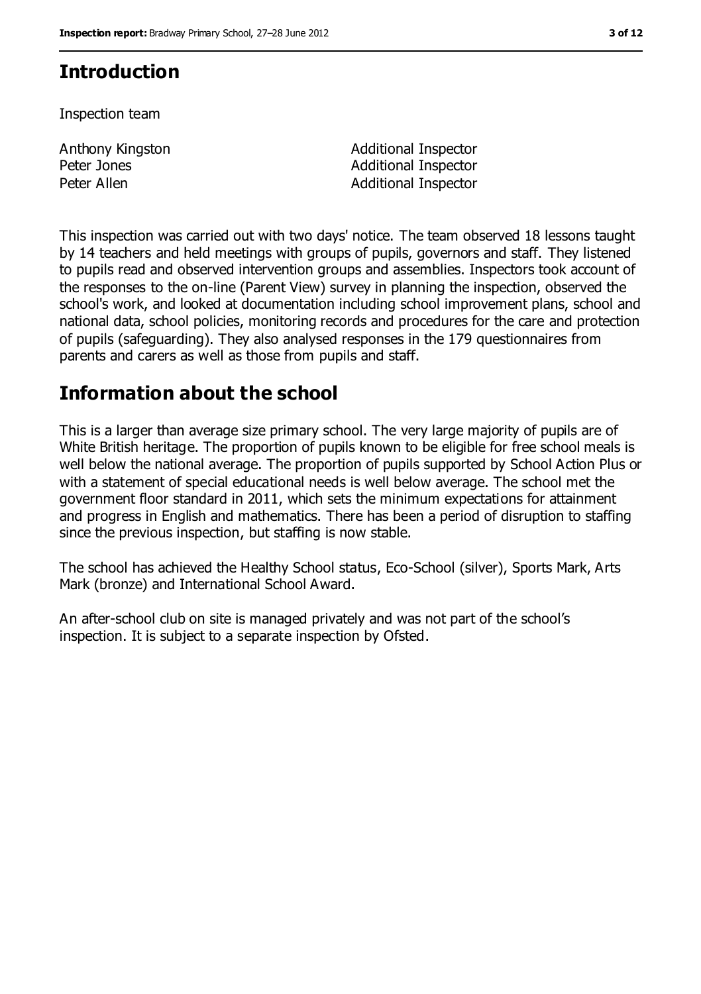# **Introduction**

Inspection team

Anthony Kingston Peter Jones

Additional Inspector Additional Inspector Peter Allen **Additional Inspector** 

This inspection was carried out with two days' notice. The team observed 18 lessons taught by 14 teachers and held meetings with groups of pupils, governors and staff. They listened to pupils read and observed intervention groups and assemblies. Inspectors took account of the responses to the on-line (Parent View) survey in planning the inspection, observed the school's work, and looked at documentation including school improvement plans, school and national data, school policies, monitoring records and procedures for the care and protection of pupils (safeguarding). They also analysed responses in the 179 questionnaires from parents and carers as well as those from pupils and staff.

## **Information about the school**

This is a larger than average size primary school. The very large majority of pupils are of White British heritage. The proportion of pupils known to be eligible for free school meals is well below the national average. The proportion of pupils supported by School Action Plus or with a statement of special educational needs is well below average. The school met the government floor standard in 2011, which sets the minimum expectations for attainment and progress in English and mathematics. There has been a period of disruption to staffing since the previous inspection, but staffing is now stable.

The school has achieved the Healthy School status, Eco-School (silver), Sports Mark, Arts Mark (bronze) and International School Award.

An after-school club on site is managed privately and was not part of the school's inspection. It is subject to a separate inspection by Ofsted.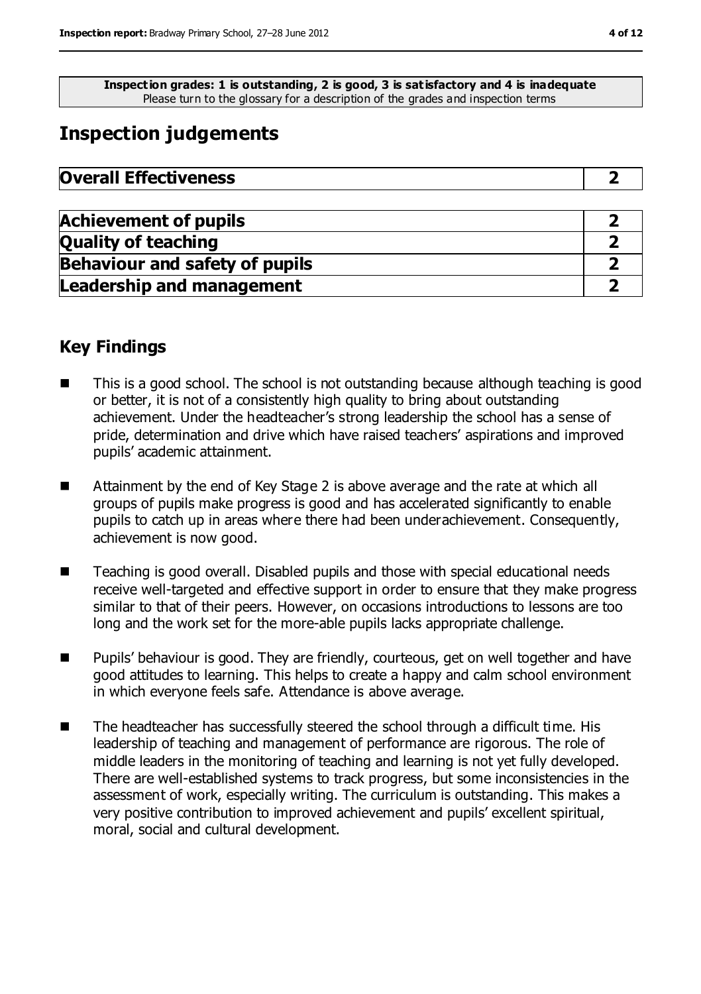**Inspection grades: 1 is outstanding, 2 is good, 3 is satisfactory and 4 is inadequate** Please turn to the glossary for a description of the grades and inspection terms

# **Inspection judgements**

| <b>Overall Effectiveness</b> |  |
|------------------------------|--|
|------------------------------|--|

| <b>Achievement of pupils</b>          |  |
|---------------------------------------|--|
| <b>Quality of teaching</b>            |  |
| <b>Behaviour and safety of pupils</b> |  |
| <b>Leadership and management</b>      |  |

### **Key Findings**

- This is a good school. The school is not outstanding because although teaching is good or better, it is not of a consistently high quality to bring about outstanding achievement. Under the headteacher's strong leadership the school has a sense of pride, determination and drive which have raised teachers' aspirations and improved pupils' academic attainment.
- Attainment by the end of Key Stage 2 is above average and the rate at which all groups of pupils make progress is good and has accelerated significantly to enable pupils to catch up in areas where there had been underachievement. Consequently, achievement is now good.
- Teaching is good overall. Disabled pupils and those with special educational needs receive well-targeted and effective support in order to ensure that they make progress similar to that of their peers. However, on occasions introductions to lessons are too long and the work set for the more-able pupils lacks appropriate challenge.
- Pupils' behaviour is good. They are friendly, courteous, get on well together and have good attitudes to learning. This helps to create a happy and calm school environment in which everyone feels safe. Attendance is above average.
- The headteacher has successfully steered the school through a difficult time. His leadership of teaching and management of performance are rigorous. The role of middle leaders in the monitoring of teaching and learning is not yet fully developed. There are well-established systems to track progress, but some inconsistencies in the assessment of work, especially writing. The curriculum is outstanding. This makes a very positive contribution to improved achievement and pupils' excellent spiritual, moral, social and cultural development.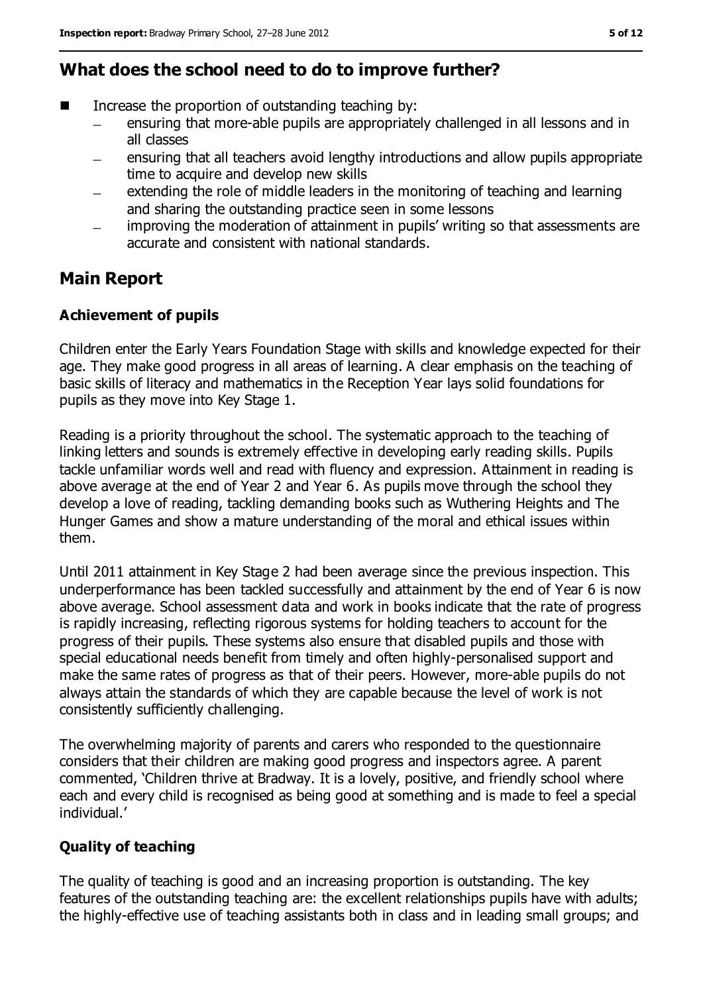### **What does the school need to do to improve further?**

- Increase the proportion of outstanding teaching by:
	- ensuring that more-able pupils are appropriately challenged in all lessons and in  $\equiv$ all classes
	- ensuring that all teachers avoid lengthy introductions and allow pupils appropriate time to acquire and develop new skills
	- extending the role of middle leaders in the monitoring of teaching and learning and sharing the outstanding practice seen in some lessons
	- improving the moderation of attainment in pupils' writing so that assessments are  $\equiv$ accurate and consistent with national standards.

### **Main Report**

#### **Achievement of pupils**

Children enter the Early Years Foundation Stage with skills and knowledge expected for their age. They make good progress in all areas of learning. A clear emphasis on the teaching of basic skills of literacy and mathematics in the Reception Year lays solid foundations for pupils as they move into Key Stage 1.

Reading is a priority throughout the school. The systematic approach to the teaching of linking letters and sounds is extremely effective in developing early reading skills. Pupils tackle unfamiliar words well and read with fluency and expression. Attainment in reading is above average at the end of Year 2 and Year 6. As pupils move through the school they develop a love of reading, tackling demanding books such as Wuthering Heights and The Hunger Games and show a mature understanding of the moral and ethical issues within them.

Until 2011 attainment in Key Stage 2 had been average since the previous inspection. This underperformance has been tackled successfully and attainment by the end of Year 6 is now above average. School assessment data and work in books indicate that the rate of progress is rapidly increasing, reflecting rigorous systems for holding teachers to account for the progress of their pupils. These systems also ensure that disabled pupils and those with special educational needs benefit from timely and often highly-personalised support and make the same rates of progress as that of their peers. However, more-able pupils do not always attain the standards of which they are capable because the level of work is not consistently sufficiently challenging.

The overwhelming majority of parents and carers who responded to the questionnaire considers that their children are making good progress and inspectors agree. A parent commented, 'Children thrive at Bradway. It is a lovely, positive, and friendly school where each and every child is recognised as being good at something and is made to feel a special individual.'

#### **Quality of teaching**

The quality of teaching is good and an increasing proportion is outstanding. The key features of the outstanding teaching are: the excellent relationships pupils have with adults; the highly-effective use of teaching assistants both in class and in leading small groups; and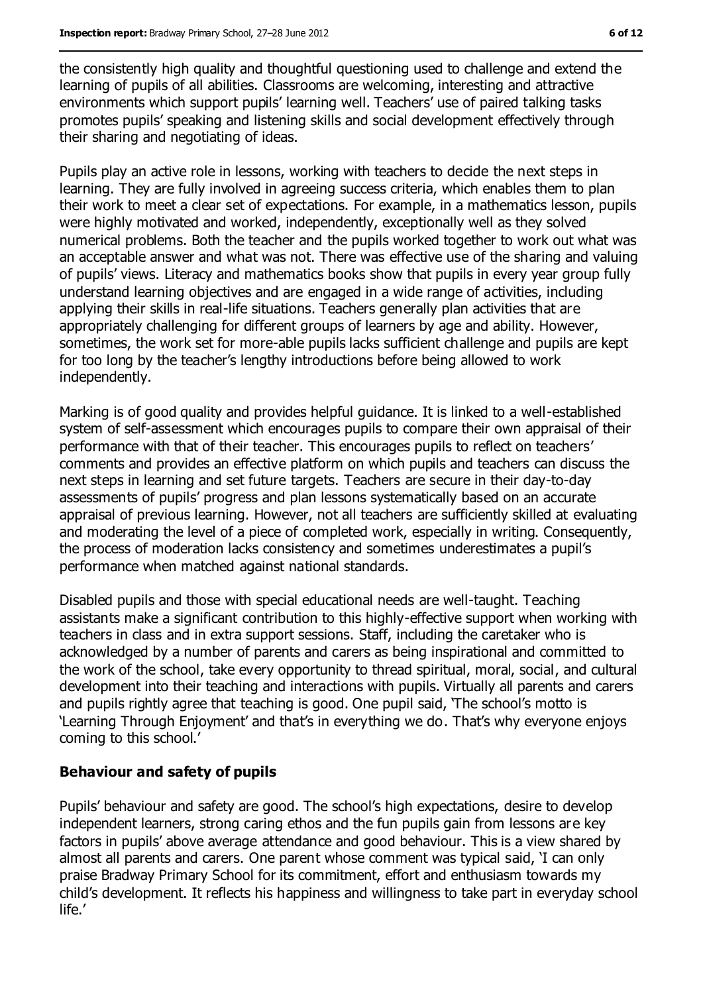the consistently high quality and thoughtful questioning used to challenge and extend the learning of pupils of all abilities. Classrooms are welcoming, interesting and attractive environments which support pupils' learning well. Teachers' use of paired talking tasks promotes pupils' speaking and listening skills and social development effectively through their sharing and negotiating of ideas.

Pupils play an active role in lessons, working with teachers to decide the next steps in learning. They are fully involved in agreeing success criteria, which enables them to plan their work to meet a clear set of expectations. For example, in a mathematics lesson, pupils were highly motivated and worked, independently, exceptionally well as they solved numerical problems. Both the teacher and the pupils worked together to work out what was an acceptable answer and what was not. There was effective use of the sharing and valuing of pupils' views. Literacy and mathematics books show that pupils in every year group fully understand learning objectives and are engaged in a wide range of activities, including applying their skills in real-life situations. Teachers generally plan activities that are appropriately challenging for different groups of learners by age and ability. However, sometimes, the work set for more-able pupils lacks sufficient challenge and pupils are kept for too long by the teacher's lengthy introductions before being allowed to work independently.

Marking is of good quality and provides helpful guidance. It is linked to a well-established system of self-assessment which encourages pupils to compare their own appraisal of their performance with that of their teacher. This encourages pupils to reflect on teachers' comments and provides an effective platform on which pupils and teachers can discuss the next steps in learning and set future targets. Teachers are secure in their day-to-day assessments of pupils' progress and plan lessons systematically based on an accurate appraisal of previous learning. However, not all teachers are sufficiently skilled at evaluating and moderating the level of a piece of completed work, especially in writing. Consequently, the process of moderation lacks consistency and sometimes underestimates a pupil's performance when matched against national standards.

Disabled pupils and those with special educational needs are well-taught. Teaching assistants make a significant contribution to this highly-effective support when working with teachers in class and in extra support sessions. Staff, including the caretaker who is acknowledged by a number of parents and carers as being inspirational and committed to the work of the school, take every opportunity to thread spiritual, moral, social, and cultural development into their teaching and interactions with pupils. Virtually all parents and carers and pupils rightly agree that teaching is good. One pupil said, 'The school's motto is 'Learning Through Enjoyment' and that's in everything we do. That's why everyone enjoys coming to this school.'

#### **Behaviour and safety of pupils**

Pupils' behaviour and safety are good. The school's high expectations, desire to develop independent learners, strong caring ethos and the fun pupils gain from lessons are key factors in pupils' above average attendance and good behaviour. This is a view shared by almost all parents and carers. One parent whose comment was typical said, 'I can only praise Bradway Primary School for its commitment, effort and enthusiasm towards my child's development. It reflects his happiness and willingness to take part in everyday school life.'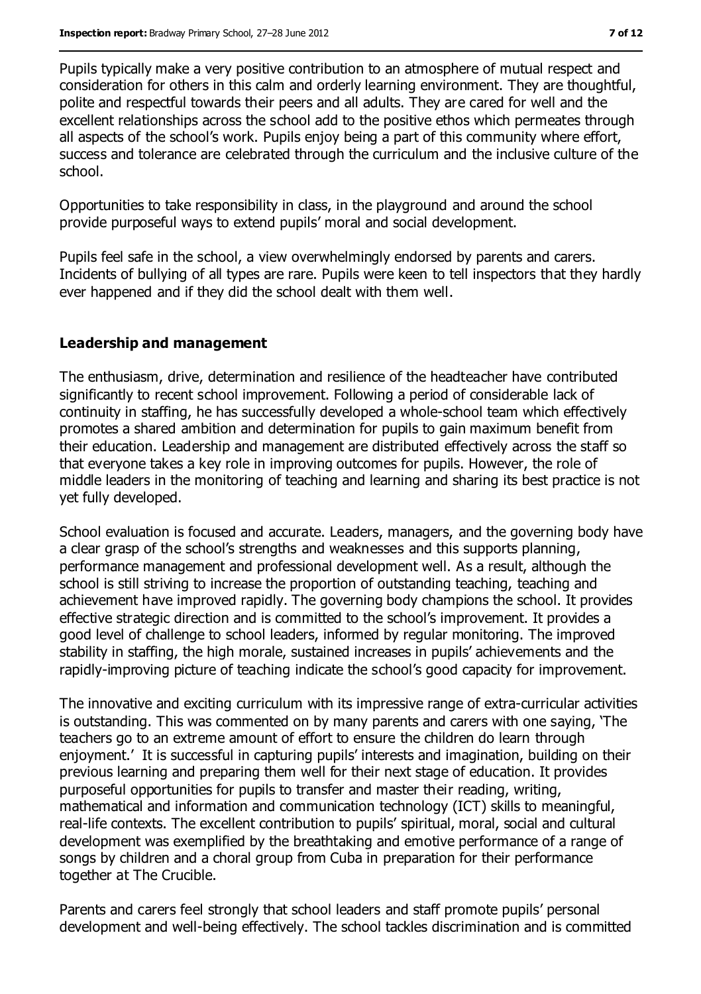Pupils typically make a very positive contribution to an atmosphere of mutual respect and consideration for others in this calm and orderly learning environment. They are thoughtful, polite and respectful towards their peers and all adults. They are cared for well and the excellent relationships across the school add to the positive ethos which permeates through all aspects of the school's work. Pupils enjoy being a part of this community where effort, success and tolerance are celebrated through the curriculum and the inclusive culture of the school.

Opportunities to take responsibility in class, in the playground and around the school provide purposeful ways to extend pupils' moral and social development.

Pupils feel safe in the school, a view overwhelmingly endorsed by parents and carers. Incidents of bullying of all types are rare. Pupils were keen to tell inspectors that they hardly ever happened and if they did the school dealt with them well.

#### **Leadership and management**

The enthusiasm, drive, determination and resilience of the headteacher have contributed significantly to recent school improvement. Following a period of considerable lack of continuity in staffing, he has successfully developed a whole-school team which effectively promotes a shared ambition and determination for pupils to gain maximum benefit from their education. Leadership and management are distributed effectively across the staff so that everyone takes a key role in improving outcomes for pupils. However, the role of middle leaders in the monitoring of teaching and learning and sharing its best practice is not yet fully developed.

School evaluation is focused and accurate. Leaders, managers, and the governing body have a clear grasp of the school's strengths and weaknesses and this supports planning, performance management and professional development well. As a result, although the school is still striving to increase the proportion of outstanding teaching, teaching and achievement have improved rapidly. The governing body champions the school. It provides effective strategic direction and is committed to the school's improvement. It provides a good level of challenge to school leaders, informed by regular monitoring. The improved stability in staffing, the high morale, sustained increases in pupils' achievements and the rapidly-improving picture of teaching indicate the school's good capacity for improvement.

The innovative and exciting curriculum with its impressive range of extra-curricular activities is outstanding. This was commented on by many parents and carers with one saying, 'The teachers go to an extreme amount of effort to ensure the children do learn through enjoyment.' It is successful in capturing pupils' interests and imagination, building on their previous learning and preparing them well for their next stage of education. It provides purposeful opportunities for pupils to transfer and master their reading, writing, mathematical and information and communication technology (ICT) skills to meaningful, real-life contexts. The excellent contribution to pupils' spiritual, moral, social and cultural development was exemplified by the breathtaking and emotive performance of a range of songs by children and a choral group from Cuba in preparation for their performance together at The Crucible.

Parents and carers feel strongly that school leaders and staff promote pupils' personal development and well-being effectively. The school tackles discrimination and is committed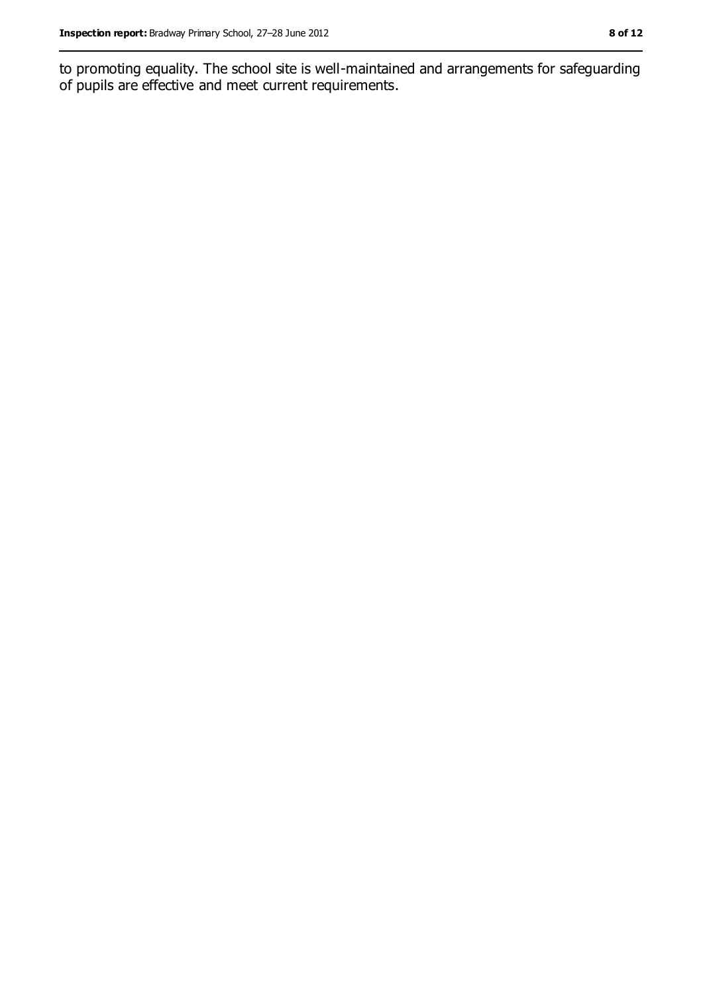to promoting equality. The school site is well-maintained and arrangements for safeguarding of pupils are effective and meet current requirements.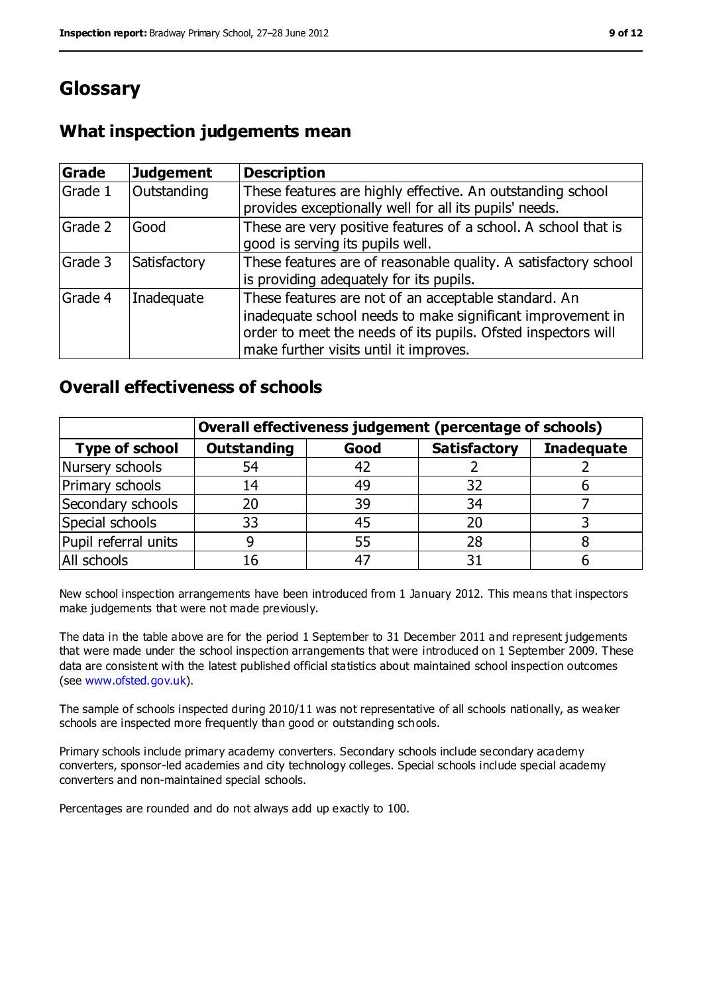# **Glossary**

### **What inspection judgements mean**

| <b>Grade</b> | Judgement    | <b>Description</b>                                                                                                                                                                                                            |
|--------------|--------------|-------------------------------------------------------------------------------------------------------------------------------------------------------------------------------------------------------------------------------|
| Grade 1      | Outstanding  | These features are highly effective. An outstanding school<br>provides exceptionally well for all its pupils' needs.                                                                                                          |
| Grade 2      | Good         | These are very positive features of a school. A school that is<br>good is serving its pupils well.                                                                                                                            |
| Grade 3      | Satisfactory | These features are of reasonable quality. A satisfactory school<br>is providing adequately for its pupils.                                                                                                                    |
| Grade 4      | Inadequate   | These features are not of an acceptable standard. An<br>inadequate school needs to make significant improvement in<br>order to meet the needs of its pupils. Ofsted inspectors will<br>make further visits until it improves. |

### **Overall effectiveness of schools**

|                       | Overall effectiveness judgement (percentage of schools) |      |                     |                   |
|-----------------------|---------------------------------------------------------|------|---------------------|-------------------|
| <b>Type of school</b> | <b>Outstanding</b>                                      | Good | <b>Satisfactory</b> | <b>Inadequate</b> |
| Nursery schools       | 54                                                      | 42   |                     |                   |
| Primary schools       | 14                                                      | 49   | 32                  |                   |
| Secondary schools     | 20                                                      | 39   | 34                  |                   |
| Special schools       | 33                                                      | 45   | 20                  |                   |
| Pupil referral units  |                                                         | 55   | 28                  |                   |
| All schools           | 16                                                      | $-4$ |                     |                   |

New school inspection arrangements have been introduced from 1 January 2012. This means that inspectors make judgements that were not made previously.

The data in the table above are for the period 1 September to 31 December 2011 and represent judgements that were made under the school inspection arrangements that were introduced on 1 September 2009. These data are consistent with the latest published official statistics about maintained school inspection outcomes (see [www.ofsted.gov.uk\)](../../../AppData/AppData/Local/Microsoft/Windows/AppData/AppData/Local/Microsoft/Windows/Temporary%20Internet%20Files/Low/Content.IE5/www.ofsted.gov.uk).

The sample of schools inspected during 2010/11 was not representative of all schools nationally, as weaker schools are inspected more frequently than good or outstanding schools.

Primary schools include primary academy converters. Secondary schools include secondary academy converters, sponsor-led academies and city technology colleges. Special schools include special academy converters and non-maintained special schools.

Percentages are rounded and do not always add up exactly to 100.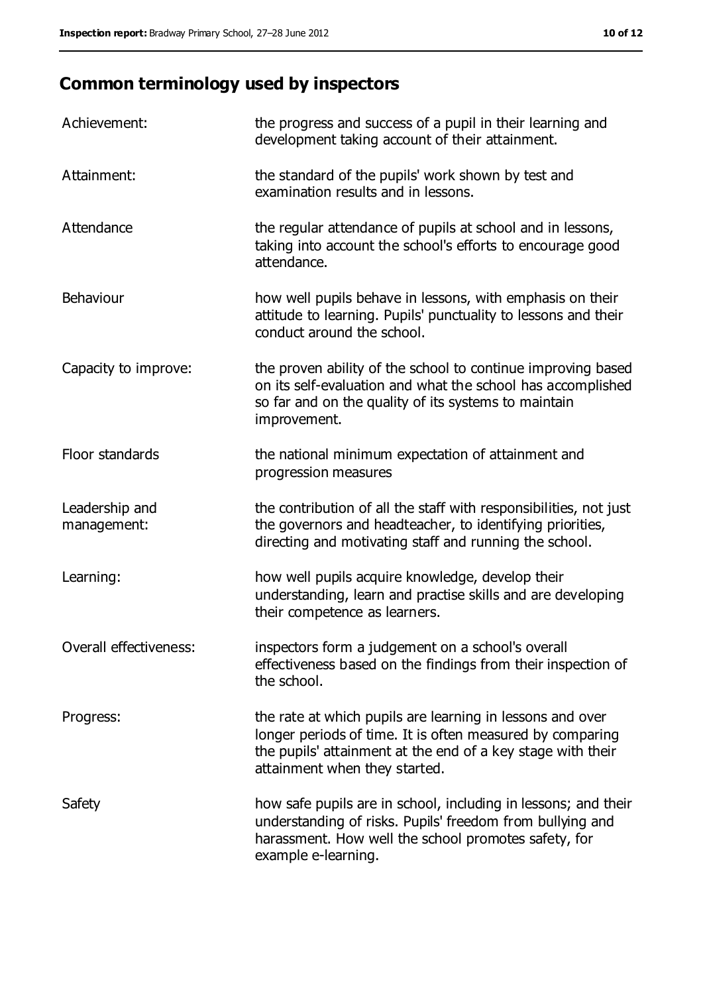# **Common terminology used by inspectors**

| Achievement:                  | the progress and success of a pupil in their learning and<br>development taking account of their attainment.                                                                                                           |
|-------------------------------|------------------------------------------------------------------------------------------------------------------------------------------------------------------------------------------------------------------------|
| Attainment:                   | the standard of the pupils' work shown by test and<br>examination results and in lessons.                                                                                                                              |
| Attendance                    | the regular attendance of pupils at school and in lessons,<br>taking into account the school's efforts to encourage good<br>attendance.                                                                                |
| Behaviour                     | how well pupils behave in lessons, with emphasis on their<br>attitude to learning. Pupils' punctuality to lessons and their<br>conduct around the school.                                                              |
| Capacity to improve:          | the proven ability of the school to continue improving based<br>on its self-evaluation and what the school has accomplished<br>so far and on the quality of its systems to maintain<br>improvement.                    |
| Floor standards               | the national minimum expectation of attainment and<br>progression measures                                                                                                                                             |
| Leadership and<br>management: | the contribution of all the staff with responsibilities, not just<br>the governors and headteacher, to identifying priorities,<br>directing and motivating staff and running the school.                               |
| Learning:                     | how well pupils acquire knowledge, develop their<br>understanding, learn and practise skills and are developing<br>their competence as learners.                                                                       |
| Overall effectiveness:        | inspectors form a judgement on a school's overall<br>effectiveness based on the findings from their inspection of<br>the school.                                                                                       |
| Progress:                     | the rate at which pupils are learning in lessons and over<br>longer periods of time. It is often measured by comparing<br>the pupils' attainment at the end of a key stage with their<br>attainment when they started. |
| Safety                        | how safe pupils are in school, including in lessons; and their<br>understanding of risks. Pupils' freedom from bullying and<br>harassment. How well the school promotes safety, for<br>example e-learning.             |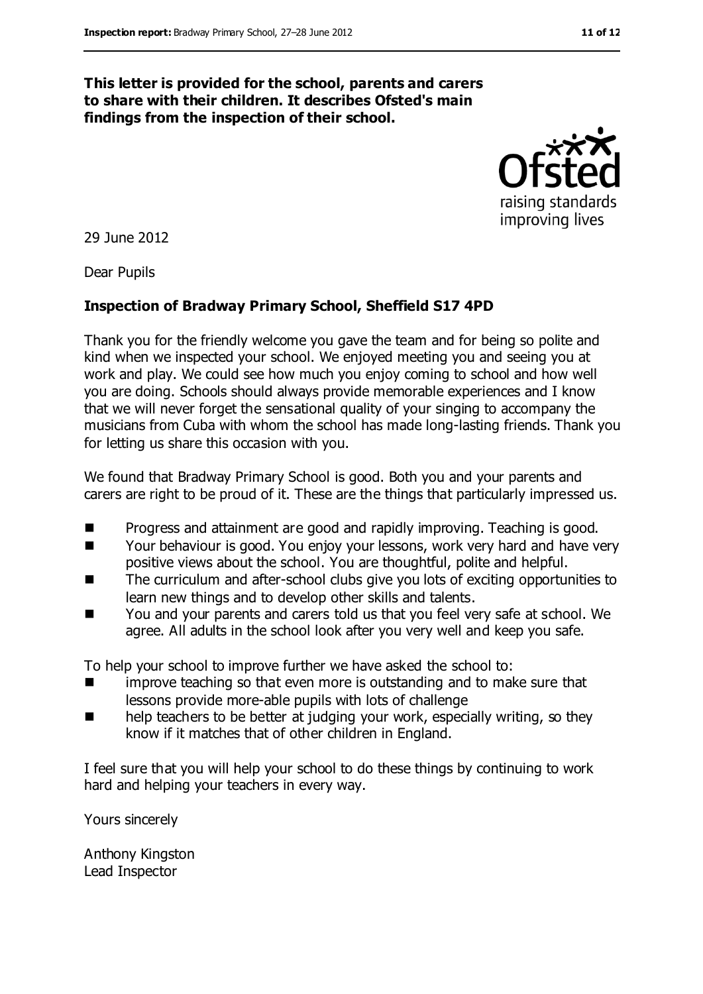#### **This letter is provided for the school, parents and carers to share with their children. It describes Ofsted's main findings from the inspection of their school.**



29 June 2012

Dear Pupils

#### **Inspection of Bradway Primary School, Sheffield S17 4PD**

Thank you for the friendly welcome you gave the team and for being so polite and kind when we inspected your school. We enjoyed meeting you and seeing you at work and play. We could see how much you enjoy coming to school and how well you are doing. Schools should always provide memorable experiences and I know that we will never forget the sensational quality of your singing to accompany the musicians from Cuba with whom the school has made long-lasting friends. Thank you for letting us share this occasion with you.

We found that Bradway Primary School is good. Both you and your parents and carers are right to be proud of it. These are the things that particularly impressed us.

- Progress and attainment are good and rapidly improving. Teaching is good.
- Your behaviour is good. You enjoy your lessons, work very hard and have very positive views about the school. You are thoughtful, polite and helpful.
- The curriculum and after-school clubs give you lots of exciting opportunities to learn new things and to develop other skills and talents.
- You and your parents and carers told us that you feel very safe at school. We agree. All adults in the school look after you very well and keep you safe.

To help your school to improve further we have asked the school to:

- **If all improve teaching so that even more is outstanding and to make sure that** lessons provide more-able pupils with lots of challenge
- **EXECT** help teachers to be better at judging your work, especially writing, so they know if it matches that of other children in England.

I feel sure that you will help your school to do these things by continuing to work hard and helping your teachers in every way.

Yours sincerely

Anthony Kingston Lead Inspector